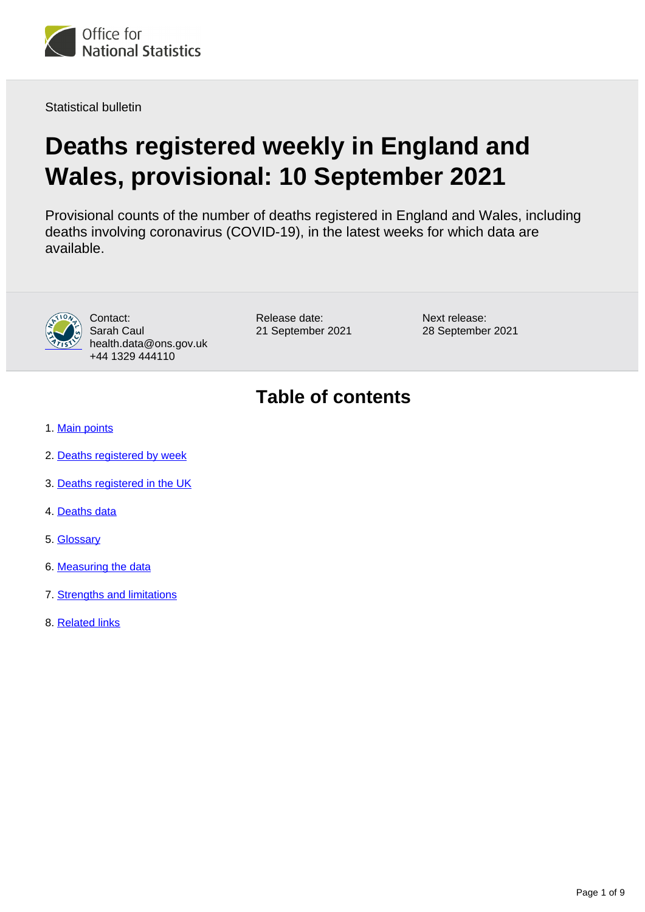

Statistical bulletin

# **Deaths registered weekly in England and Wales, provisional: 10 September 2021**

Provisional counts of the number of deaths registered in England and Wales, including deaths involving coronavirus (COVID-19), in the latest weeks for which data are available.



Contact: Sarah Caul health.data@ons.gov.uk +44 1329 444110

Release date: 21 September 2021 Next release: 28 September 2021

## **Table of contents**

- 1. [Main points](#page-1-0)
- 2. [Deaths registered by week](#page-1-1)
- 3. [Deaths registered in the UK](#page-4-0)
- 4. [Deaths data](#page-5-0)
- 5. [Glossary](#page-6-0)
- 6. [Measuring the data](#page-6-1)
- 7. [Strengths and limitations](#page-7-0)
- 8. [Related links](#page-8-0)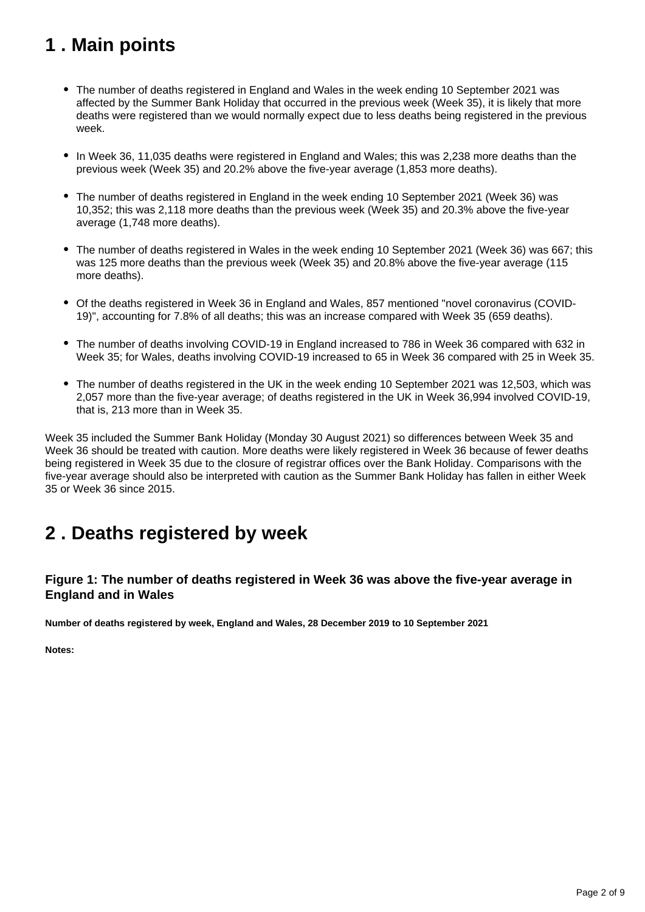## <span id="page-1-0"></span>**1 . Main points**

- The number of deaths registered in England and Wales in the week ending 10 September 2021 was affected by the Summer Bank Holiday that occurred in the previous week (Week 35), it is likely that more deaths were registered than we would normally expect due to less deaths being registered in the previous week.
- In Week 36, 11,035 deaths were registered in England and Wales; this was 2,238 more deaths than the previous week (Week 35) and 20.2% above the five-year average (1,853 more deaths).
- The number of deaths registered in England in the week ending 10 September 2021 (Week 36) was 10,352; this was 2,118 more deaths than the previous week (Week 35) and 20.3% above the five-year average (1,748 more deaths).
- The number of deaths registered in Wales in the week ending 10 September 2021 (Week 36) was 667; this was 125 more deaths than the previous week (Week 35) and 20.8% above the five-year average (115 more deaths).
- Of the deaths registered in Week 36 in England and Wales, 857 mentioned "novel coronavirus (COVID-19)", accounting for 7.8% of all deaths; this was an increase compared with Week 35 (659 deaths).
- The number of deaths involving COVID-19 in England increased to 786 in Week 36 compared with 632 in Week 35; for Wales, deaths involving COVID-19 increased to 65 in Week 36 compared with 25 in Week 35.
- The number of deaths registered in the UK in the week ending 10 September 2021 was 12,503, which was 2,057 more than the five-year average; of deaths registered in the UK in Week 36,994 involved COVID-19, that is, 213 more than in Week 35.

Week 35 included the Summer Bank Holiday (Monday 30 August 2021) so differences between Week 35 and Week 36 should be treated with caution. More deaths were likely registered in Week 36 because of fewer deaths being registered in Week 35 due to the closure of registrar offices over the Bank Holiday. Comparisons with the five-year average should also be interpreted with caution as the Summer Bank Holiday has fallen in either Week 35 or Week 36 since 2015.

## <span id="page-1-1"></span>**2 . Deaths registered by week**

### **Figure 1: The number of deaths registered in Week 36 was above the five-year average in England and in Wales**

**Number of deaths registered by week, England and Wales, 28 December 2019 to 10 September 2021**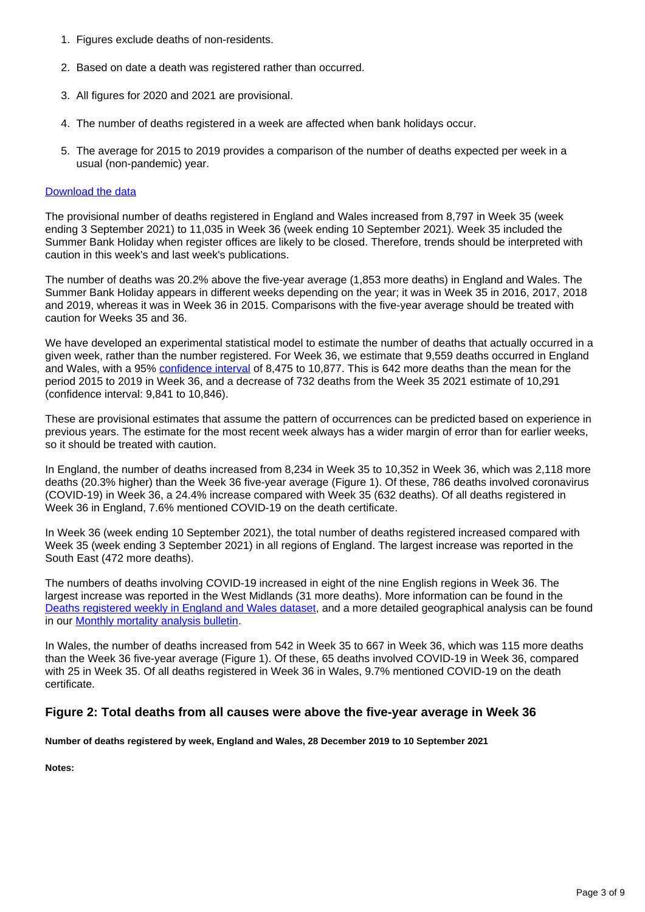- 1. Figures exclude deaths of non-residents.
- 2. Based on date a death was registered rather than occurred.
- 3. All figures for 2020 and 2021 are provisional.
- 4. The number of deaths registered in a week are affected when bank holidays occur.
- 5. The average for 2015 to 2019 provides a comparison of the number of deaths expected per week in a usual (non-pandemic) year.

The provisional number of deaths registered in England and Wales increased from 8,797 in Week 35 (week ending 3 September 2021) to 11,035 in Week 36 (week ending 10 September 2021). Week 35 included the Summer Bank Holiday when register offices are likely to be closed. Therefore, trends should be interpreted with caution in this week's and last week's publications.

The number of deaths was 20.2% above the five-year average (1,853 more deaths) in England and Wales. The Summer Bank Holiday appears in different weeks depending on the year; it was in Week 35 in 2016, 2017, 2018 and 2019, whereas it was in Week 36 in 2015. Comparisons with the five-year average should be treated with caution for Weeks 35 and 36.

We have developed an experimental statistical model to estimate the number of deaths that actually occurred in a given week, rather than the number registered. For Week 36, we estimate that 9,559 deaths occurred in England and Wales, with a 95% [confidence interval](https://www.ons.gov.uk/methodology/methodologytopicsandstatisticalconcepts/uncertaintyandhowwemeasureit#confidence-interval) of 8,475 to 10,877. This is 642 more deaths than the mean for the period 2015 to 2019 in Week 36, and a decrease of 732 deaths from the Week 35 2021 estimate of 10,291 (confidence interval: 9,841 to 10,846).

These are provisional estimates that assume the pattern of occurrences can be predicted based on experience in previous years. The estimate for the most recent week always has a wider margin of error than for earlier weeks, so it should be treated with caution.

In England, the number of deaths increased from 8,234 in Week 35 to 10,352 in Week 36, which was 2,118 more deaths (20.3% higher) than the Week 36 five-year average (Figure 1). Of these, 786 deaths involved coronavirus (COVID-19) in Week 36, a 24.4% increase compared with Week 35 (632 deaths). Of all deaths registered in Week 36 in England, 7.6% mentioned COVID-19 on the death certificate.

In Week 36 (week ending 10 September 2021), the total number of deaths registered increased compared with Week 35 (week ending 3 September 2021) in all regions of England. The largest increase was reported in the South East (472 more deaths).

The numbers of deaths involving COVID-19 increased in eight of the nine English regions in Week 36. The largest increase was reported in the West Midlands (31 more deaths). More information can be found in the [Deaths registered weekly in England and Wales dataset,](https://www.ons.gov.uk/peoplepopulationandcommunity/birthsdeathsandmarriages/deaths/datasets/weeklyprovisionalfiguresondeathsregisteredinenglandandwales) and a more detailed geographical analysis can be found in our **[Monthly mortality analysis bulletin](https://www.ons.gov.uk/peoplepopulationandcommunity/birthsdeathsandmarriages/deaths/bulletins/monthlymortalityanalysisenglandandwales/latest)**.

In Wales, the number of deaths increased from 542 in Week 35 to 667 in Week 36, which was 115 more deaths than the Week 36 five-year average (Figure 1). Of these, 65 deaths involved COVID-19 in Week 36, compared with 25 in Week 35. Of all deaths registered in Week 36 in Wales, 9.7% mentioned COVID-19 on the death certificate.

### **Figure 2: Total deaths from all causes were above the five-year average in Week 36**

**Number of deaths registered by week, England and Wales, 28 December 2019 to 10 September 2021**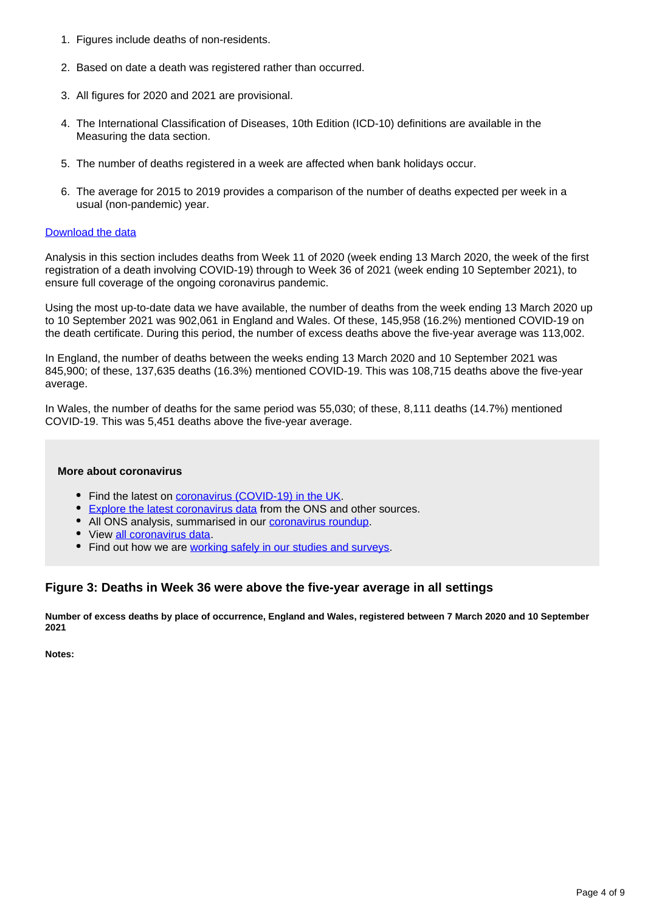- 1. Figures include deaths of non-residents.
- 2. Based on date a death was registered rather than occurred.
- 3. All figures for 2020 and 2021 are provisional.
- 4. The International Classification of Diseases, 10th Edition (ICD-10) definitions are available in the Measuring the data section.
- 5. The number of deaths registered in a week are affected when bank holidays occur.
- 6. The average for 2015 to 2019 provides a comparison of the number of deaths expected per week in a usual (non-pandemic) year.

Analysis in this section includes deaths from Week 11 of 2020 (week ending 13 March 2020, the week of the first registration of a death involving COVID-19) through to Week 36 of 2021 (week ending 10 September 2021), to ensure full coverage of the ongoing coronavirus pandemic.

Using the most up-to-date data we have available, the number of deaths from the week ending 13 March 2020 up to 10 September 2021 was 902,061 in England and Wales. Of these, 145,958 (16.2%) mentioned COVID-19 on the death certificate. During this period, the number of excess deaths above the five-year average was 113,002.

In England, the number of deaths between the weeks ending 13 March 2020 and 10 September 2021 was 845,900; of these, 137,635 deaths (16.3%) mentioned COVID-19. This was 108,715 deaths above the five-year average.

In Wales, the number of deaths for the same period was 55,030; of these, 8,111 deaths (14.7%) mentioned COVID-19. This was 5,451 deaths above the five-year average.

#### **More about coronavirus**

- Find the latest on [coronavirus \(COVID-19\) in the UK.](https://www.ons.gov.uk/peoplepopulationandcommunity/healthandsocialcare/conditionsanddiseases)
- **[Explore the latest coronavirus data](https://www.ons.gov.uk/peoplepopulationandcommunity/healthandsocialcare/conditionsanddiseases/articles/coronaviruscovid19/latestinsights) from the ONS and other sources.**
- All ONS analysis, summarised in our **coronavirus roundup**.
- View [all coronavirus data](https://www.ons.gov.uk/peoplepopulationandcommunity/healthandsocialcare/conditionsanddiseases/datalist).
- Find out how we are [working safely in our studies and surveys.](https://www.ons.gov.uk/news/statementsandletters/ensuringyoursafetyduringcovid19)

### **Figure 3: Deaths in Week 36 were above the five-year average in all settings**

**Number of excess deaths by place of occurrence, England and Wales, registered between 7 March 2020 and 10 September 2021**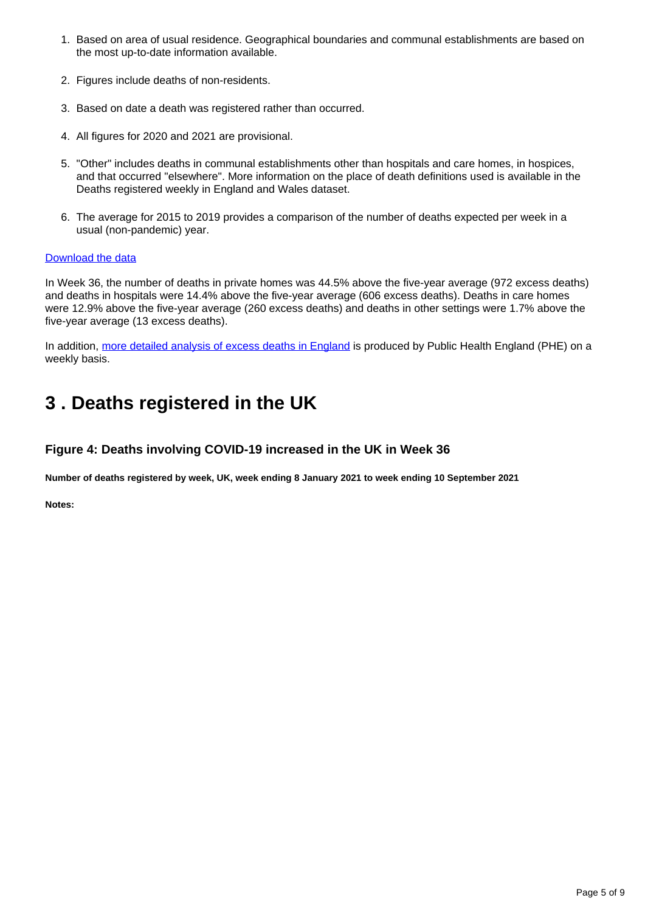- 1. Based on area of usual residence. Geographical boundaries and communal establishments are based on the most up-to-date information available.
- 2. Figures include deaths of non-residents.
- 3. Based on date a death was registered rather than occurred.
- 4. All figures for 2020 and 2021 are provisional.
- 5. "Other" includes deaths in communal establishments other than hospitals and care homes, in hospices, and that occurred "elsewhere". More information on the place of death definitions used is available in the Deaths registered weekly in England and Wales dataset.
- 6. The average for 2015 to 2019 provides a comparison of the number of deaths expected per week in a usual (non-pandemic) year.

In Week 36, the number of deaths in private homes was 44.5% above the five-year average (972 excess deaths) and deaths in hospitals were 14.4% above the five-year average (606 excess deaths). Deaths in care homes were 12.9% above the five-year average (260 excess deaths) and deaths in other settings were 1.7% above the five-year average (13 excess deaths).

In addition, [more detailed analysis of excess deaths in England](https://www.gov.uk/government/statistics/excess-mortality-in-england-weekly-reports) is produced by Public Health England (PHE) on a weekly basis.

## <span id="page-4-0"></span>**3 . Deaths registered in the UK**

### **Figure 4: Deaths involving COVID-19 increased in the UK in Week 36**

**Number of deaths registered by week, UK, week ending 8 January 2021 to week ending 10 September 2021**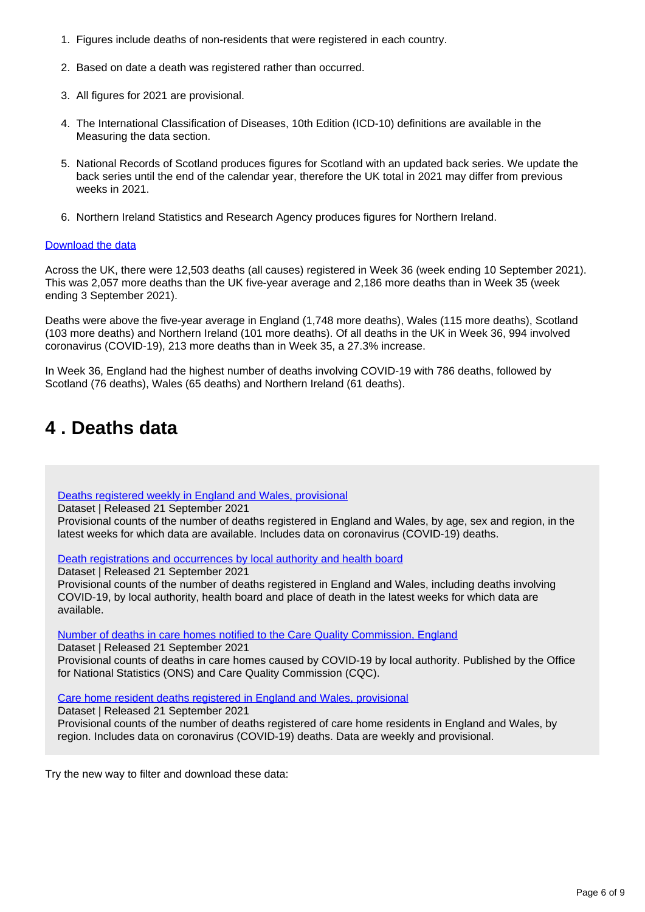- 1. Figures include deaths of non-residents that were registered in each country.
- 2. Based on date a death was registered rather than occurred.
- 3. All figures for 2021 are provisional.
- 4. The International Classification of Diseases, 10th Edition (ICD-10) definitions are available in the Measuring the data section.
- 5. National Records of Scotland produces figures for Scotland with an updated back series. We update the back series until the end of the calendar year, therefore the UK total in 2021 may differ from previous weeks in 2021.
- 6. Northern Ireland Statistics and Research Agency produces figures for Northern Ireland.

Across the UK, there were 12,503 deaths (all causes) registered in Week 36 (week ending 10 September 2021). This was 2,057 more deaths than the UK five-year average and 2,186 more deaths than in Week 35 (week ending 3 September 2021).

Deaths were above the five-year average in England (1,748 more deaths), Wales (115 more deaths), Scotland (103 more deaths) and Northern Ireland (101 more deaths). Of all deaths in the UK in Week 36, 994 involved coronavirus (COVID-19), 213 more deaths than in Week 35, a 27.3% increase.

In Week 36, England had the highest number of deaths involving COVID-19 with 786 deaths, followed by Scotland (76 deaths), Wales (65 deaths) and Northern Ireland (61 deaths).

## <span id="page-5-0"></span>**4 . Deaths data**

[Deaths registered weekly in England and Wales, provisional](https://www.ons.gov.uk/peoplepopulationandcommunity/birthsdeathsandmarriages/deaths/datasets/weeklyprovisionalfiguresondeathsregisteredinenglandandwales)

Dataset | Released 21 September 2021

Provisional counts of the number of deaths registered in England and Wales, by age, sex and region, in the latest weeks for which data are available. Includes data on coronavirus (COVID-19) deaths.

[Death registrations and occurrences by local authority and health board](https://www.ons.gov.uk/peoplepopulationandcommunity/healthandsocialcare/causesofdeath/datasets/deathregistrationsandoccurrencesbylocalauthorityandhealthboard)

Dataset | Released 21 September 2021

Provisional counts of the number of deaths registered in England and Wales, including deaths involving COVID-19, by local authority, health board and place of death in the latest weeks for which data are available.

[Number of deaths in care homes notified to the Care Quality Commission, England](https://www.ons.gov.uk/peoplepopulationandcommunity/birthsdeathsandmarriages/deaths/datasets/numberofdeathsincarehomesnotifiedtothecarequalitycommissionengland)

Dataset | Released 21 September 2021 Provisional counts of deaths in care homes caused by COVID-19 by local authority. Published by the Office for National Statistics (ONS) and Care Quality Commission (CQC).

[Care home resident deaths registered in England and Wales, provisional](https://www.ons.gov.uk/peoplepopulationandcommunity/birthsdeathsandmarriages/deaths/datasets/carehomeresidentdeathsregisteredinenglandandwalesprovisional)

Dataset | Released 21 September 2021

Provisional counts of the number of deaths registered of care home residents in England and Wales, by region. Includes data on coronavirus (COVID-19) deaths. Data are weekly and provisional.

Try the new way to filter and download these data: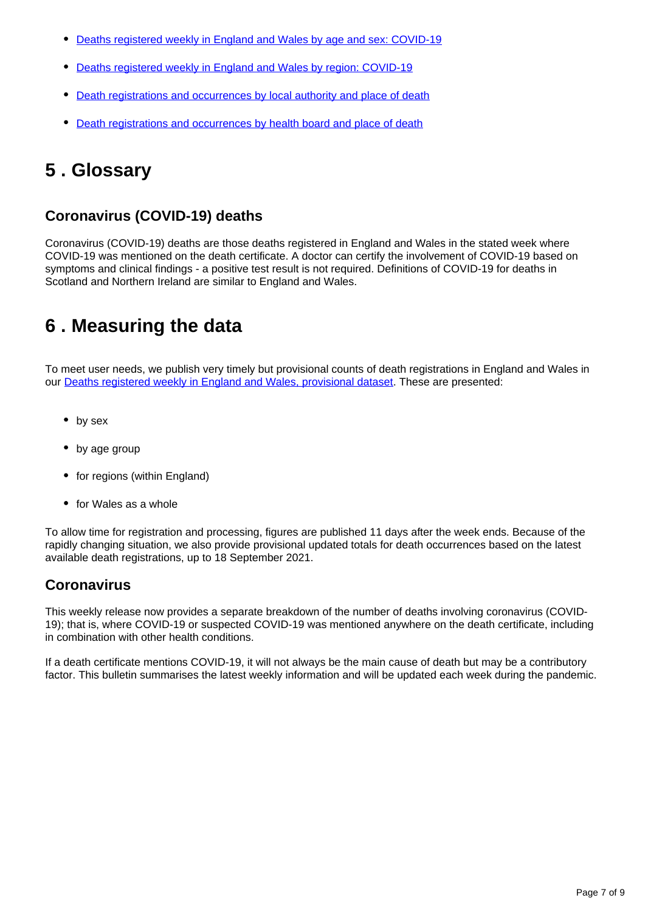- [Deaths registered weekly in England and Wales by age and sex: COVID-19](https://www.ons.gov.uk/datasets/weekly-deaths-age-sex?%3Auri=weekly-deaths-age-sex%2F)
- [Deaths registered weekly in England and Wales by region: COVID-19](https://www.ons.gov.uk/datasets/weekly-deaths-region/)
- [Death registrations and occurrences by local authority and place of death](https://www.ons.gov.uk/datasets/weekly-deaths-local-authority/)
- [Death registrations and occurrences by health board and place of death](https://www.ons.gov.uk/datasets/weekly-deaths-health-board/editions/time-series/versions?%3Auri=weekly-deaths-health-board%2Feditions%2Ftime-series%2Fversions%2F)

## <span id="page-6-0"></span>**5 . Glossary**

## **Coronavirus (COVID-19) deaths**

Coronavirus (COVID-19) deaths are those deaths registered in England and Wales in the stated week where COVID-19 was mentioned on the death certificate. A doctor can certify the involvement of COVID-19 based on symptoms and clinical findings - a positive test result is not required. Definitions of COVID-19 for deaths in Scotland and Northern Ireland are similar to England and Wales.

## <span id="page-6-1"></span>**6 . Measuring the data**

To meet user needs, we publish very timely but provisional counts of death registrations in England and Wales in our [Deaths registered weekly in England and Wales, provisional dataset](https://www.ons.gov.uk/peoplepopulationandcommunity/birthsdeathsandmarriages/deaths/datasets/weeklyprovisionalfiguresondeathsregisteredinenglandandwales). These are presented:

- by sex
- by age group
- for regions (within England)
- for Wales as a whole

To allow time for registration and processing, figures are published 11 days after the week ends. Because of the rapidly changing situation, we also provide provisional updated totals for death occurrences based on the latest available death registrations, up to 18 September 2021.

## **Coronavirus**

This weekly release now provides a separate breakdown of the number of deaths involving coronavirus (COVID-19); that is, where COVID-19 or suspected COVID-19 was mentioned anywhere on the death certificate, including in combination with other health conditions.

If a death certificate mentions COVID-19, it will not always be the main cause of death but may be a contributory factor. This bulletin summarises the latest weekly information and will be updated each week during the pandemic.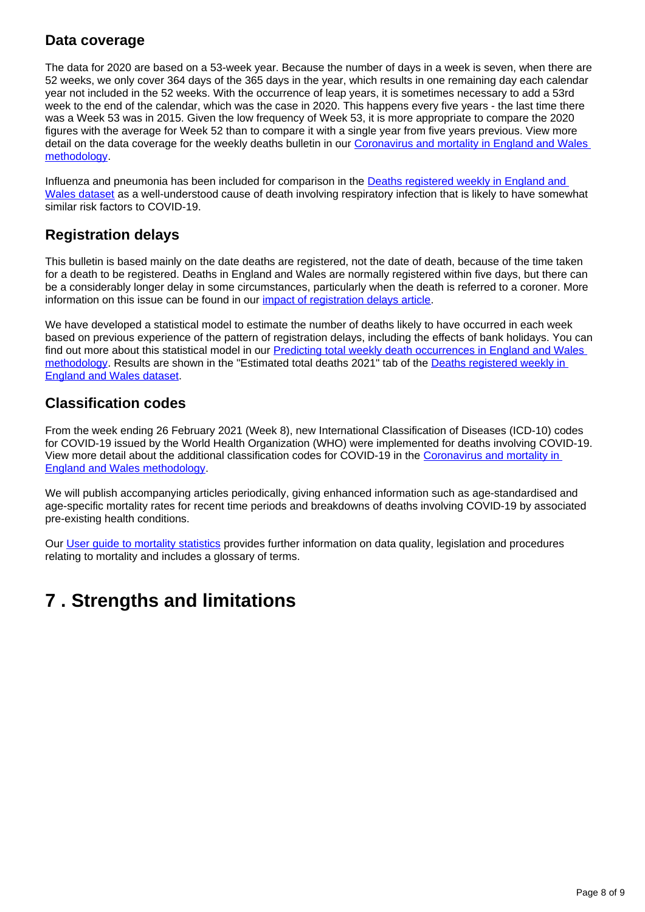### **Data coverage**

The data for 2020 are based on a 53-week year. Because the number of days in a week is seven, when there are 52 weeks, we only cover 364 days of the 365 days in the year, which results in one remaining day each calendar year not included in the 52 weeks. With the occurrence of leap years, it is sometimes necessary to add a 53rd week to the end of the calendar, which was the case in 2020. This happens every five years - the last time there was a Week 53 was in 2015. Given the low frequency of Week 53, it is more appropriate to compare the 2020 figures with the average for Week 52 than to compare it with a single year from five years previous. View more detail on the data coverage for the weekly deaths bulletin in our [Coronavirus and mortality in England and Wales](https://www.ons.gov.uk/peoplepopulationandcommunity/birthsdeathsandmarriages/deaths/methodologies/coronavirusandmortalityinenglandandwalesmethodology)  [methodology.](https://www.ons.gov.uk/peoplepopulationandcommunity/birthsdeathsandmarriages/deaths/methodologies/coronavirusandmortalityinenglandandwalesmethodology)

Influenza and pneumonia has been included for comparison in the **Deaths registered weekly in England and** [Wales dataset](https://www.ons.gov.uk/peoplepopulationandcommunity/birthsdeathsandmarriages/deaths/datasets/weeklyprovisionalfiguresondeathsregisteredinenglandandwales) as a well-understood cause of death involving respiratory infection that is likely to have somewhat similar risk factors to COVID-19.

## **Registration delays**

This bulletin is based mainly on the date deaths are registered, not the date of death, because of the time taken for a death to be registered. Deaths in England and Wales are normally registered within five days, but there can be a considerably longer delay in some circumstances, particularly when the death is referred to a coroner. More information on this issue can be found in our *impact of registration delays article*.

We have developed a statistical model to estimate the number of deaths likely to have occurred in each week based on previous experience of the pattern of registration delays, including the effects of bank holidays. You can find out more about this statistical model in our [Predicting total weekly death occurrences in England and Wales](https://www.ons.gov.uk/peoplepopulationandcommunity/birthsdeathsandmarriages/deaths/methodologies/predictingtotalweeklydeathoccurrencesinenglandandwalesmethodology)  [methodology.](https://www.ons.gov.uk/peoplepopulationandcommunity/birthsdeathsandmarriages/deaths/methodologies/predictingtotalweeklydeathoccurrencesinenglandandwalesmethodology) Results are shown in the "Estimated total deaths 2021" tab of the Deaths registered weekly in [England and Wales dataset](https://www.ons.gov.uk/peoplepopulationandcommunity/birthsdeathsandmarriages/deaths/datasets/weeklyprovisionalfiguresondeathsregisteredinenglandandwales).

## **Classification codes**

From the week ending 26 February 2021 (Week 8), new International Classification of Diseases (ICD-10) codes for COVID-19 issued by the World Health Organization (WHO) were implemented for deaths involving COVID-19. View more detail about the additional classification codes for COVID-19 in the [Coronavirus and mortality in](https://www.ons.gov.uk/peoplepopulationandcommunity/birthsdeathsandmarriages/deaths/methodologies/coronavirusandmortalityinenglandandwalesmethodology)  [England and Wales methodology.](https://www.ons.gov.uk/peoplepopulationandcommunity/birthsdeathsandmarriages/deaths/methodologies/coronavirusandmortalityinenglandandwalesmethodology)

We will publish accompanying articles periodically, giving enhanced information such as age-standardised and age-specific mortality rates for recent time periods and breakdowns of deaths involving COVID-19 by associated pre-existing health conditions.

Our [User guide to mortality statistics](https://www.ons.gov.uk/peoplepopulationandcommunity/birthsdeathsandmarriages/deaths/methodologies/userguidetomortalitystatisticsjuly2017) provides further information on data quality, legislation and procedures relating to mortality and includes a glossary of terms.

## <span id="page-7-0"></span>**7 . Strengths and limitations**